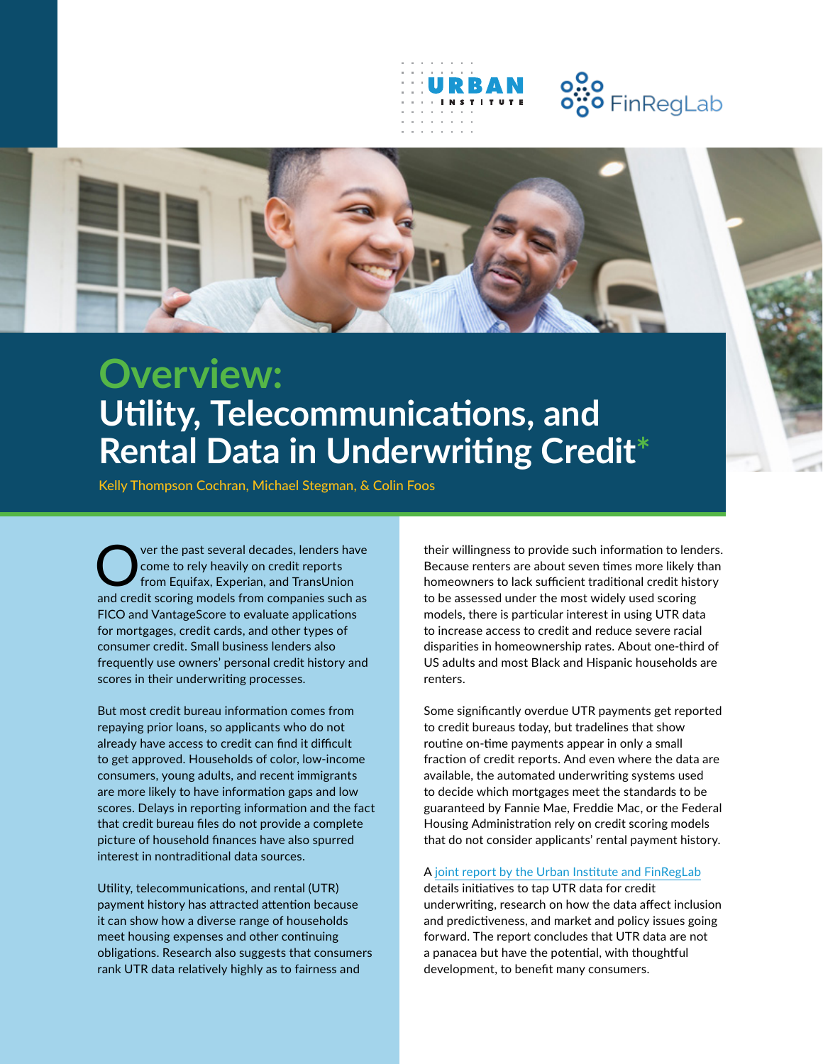

# o<mark>.:0</mark><br>o'o FinRegLab



## **Overview: Utility, Telecommunications, and Rental Data in Underwriting Credit\***

Kelly Thompson Cochran, Michael Stegman, & Colin Foos

Over the past several decades, lenders have<br>
come to rely heavily on credit reports<br>
from Equifax, Experian, and TransUnion come to rely heavily on credit reports and credit scoring models from companies such as FICO and VantageScore to evaluate applications for mortgages, credit cards, and other types of consumer credit. Small business lenders also frequently use owners' personal credit history and scores in their underwriting processes.

But most credit bureau information comes from repaying prior loans, so applicants who do not already have access to credit can find it difficult to get approved. Households of color, low-income consumers, young adults, and recent immigrants are more likely to have information gaps and low scores. Delays in reporting information and the fact that credit bureau files do not provide a complete picture of household finances have also spurred interest in nontraditional data sources.

Utility, telecommunications, and rental (UTR) payment history has attracted attention because it can show how a diverse range of households meet housing expenses and other continuing obligations. Research also suggests that consumers rank UTR data relatively highly as to fairness and

their willingness to provide such information to lenders. Because renters are about seven times more likely than homeowners to lack sufficient traditional credit history to be assessed under the most widely used scoring models, there is particular interest in using UTR data to increase access to credit and reduce severe racial disparities in homeownership rates. About one-third of US adults and most Black and Hispanic households are renters.

Some significantly overdue UTR payments get reported to credit bureaus today, but tradelines that show routine on-time payments appear in only a small fraction of credit reports. And even where the data are available, the automated underwriting systems used to decide which mortgages meet the standards to be guaranteed by Fannie Mae, Freddie Mac, or the Federal Housing Administration rely on credit scoring models that do not consider applicants' rental payment history.

#### A [joint report by the Urban Institute and FinRegLab](https://www.urban.org/research/publication/utility-telecommunications-and-rental-data-underwriting-credit)

details initiatives to tap UTR data for credit underwriting, research on how the data affect inclusion and predictiveness, and market and policy issues going forward. The report concludes that UTR data are not a panacea but have the potential, with thoughtful development, to benefit many consumers.